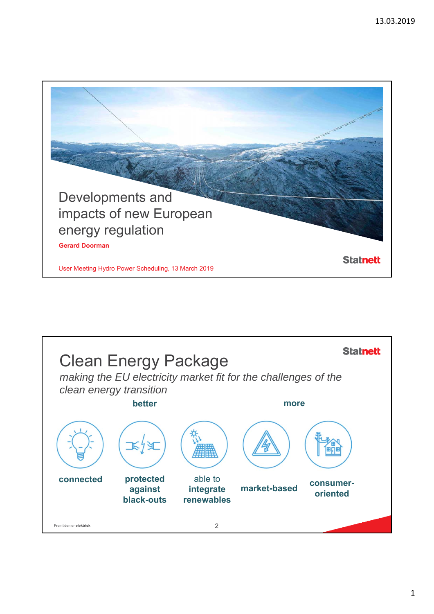

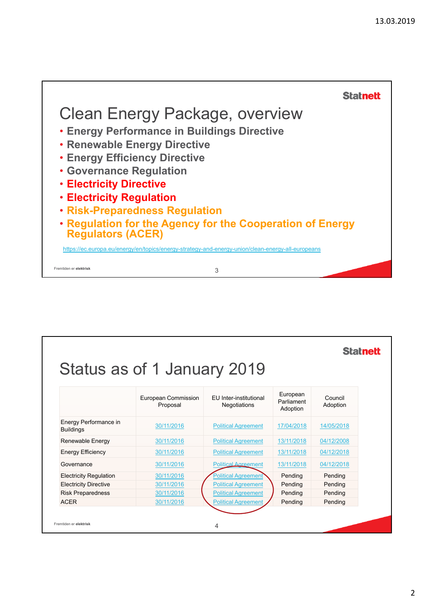

|                                           |                                 |                                        |                                    | <b>Statnett</b>     |  |
|-------------------------------------------|---------------------------------|----------------------------------------|------------------------------------|---------------------|--|
|                                           |                                 |                                        |                                    |                     |  |
|                                           | Status as of 1 January 2019     |                                        |                                    |                     |  |
|                                           |                                 |                                        |                                    |                     |  |
|                                           | European Commission<br>Proposal | FU Inter-institutional<br>Negotiations | European<br>Parliament<br>Adoption | Council<br>Adoption |  |
| Energy Performance in<br><b>Buildings</b> | 30/11/2016                      | <b>Political Agreement</b>             | 17/04/2018                         | 14/05/2018          |  |
| Renewable Energy                          | 30/11/2016                      | <b>Political Agreement</b>             | 13/11/2018                         | 04/12/2008          |  |
| <b>Energy Efficiency</b>                  | 30/11/2016                      | <b>Political Agreement</b>             | 13/11/2018                         | 04/12/2018          |  |
| Governance                                | 30/11/2016                      | <b>Political Agreement</b>             | 13/11/2018                         | 04/12/2018          |  |
| <b>Electricity Regulation</b>             | 30/11/2016                      | <b>Political Agreement</b>             | Pending                            | Pending             |  |
| <b>Electricity Directive</b>              | 30/11/2016                      | <b>Political Agreement</b>             | Pending                            | Pending             |  |
| <b>Risk Preparedness</b>                  | 30/11/2016                      | <b>Political Agreement</b>             | Pending                            | Pending             |  |
| <b>ACER</b>                               | 30/11/2016                      | <b>Political Agreement</b>             | Pending                            | Pending             |  |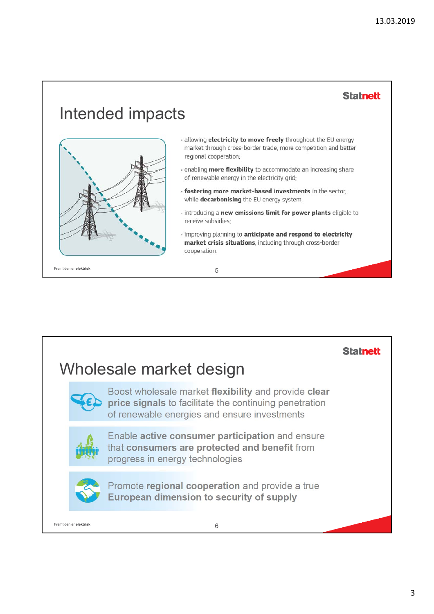**Statnett** 

## Intended impacts



- · allowing electricity to move freely throughout the EU energy market through cross-border trade, more competition and better regional cooperation;
- · enabling more flexibility to accommodate an increasing share of renewable energy in the electricity grid;
- · fostering more market-based investments in the sector, while decarbonising the EU energy system;
- · introducing a new emissions limit for power plants eligible to receive subsidies;
- · improving planning to anticipate and respond to electricity market crisis situations, including through cross-border cooperation.

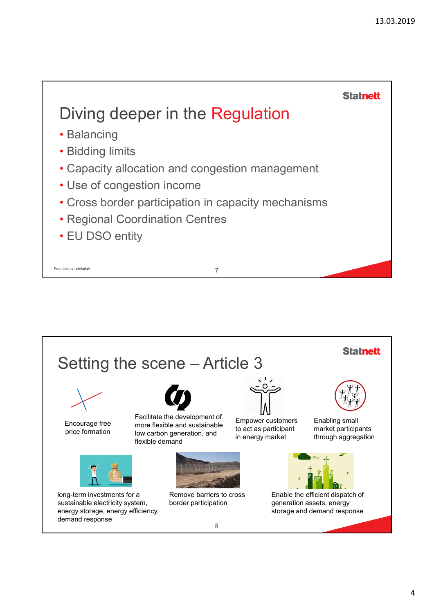

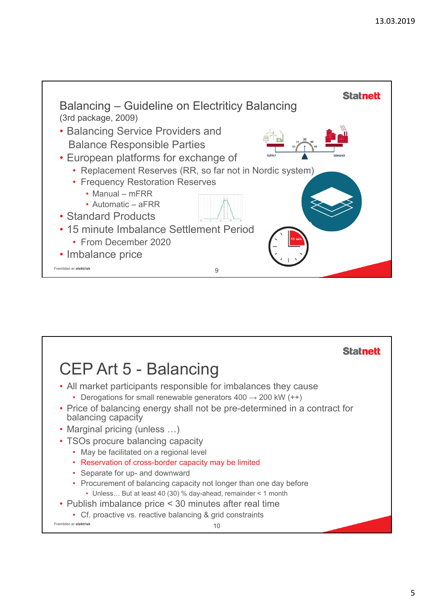

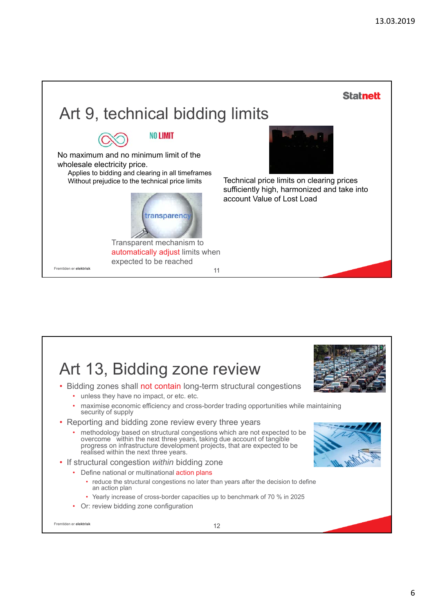



## 6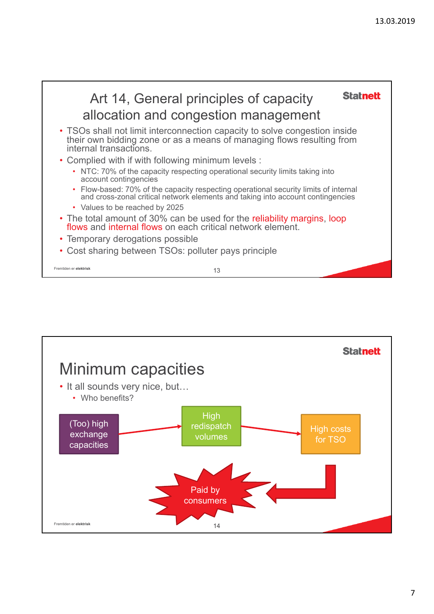

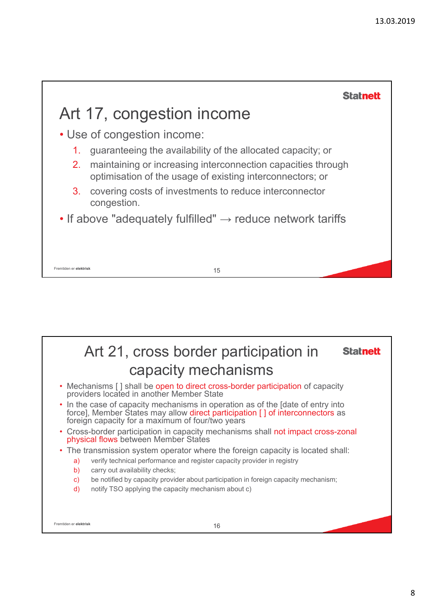

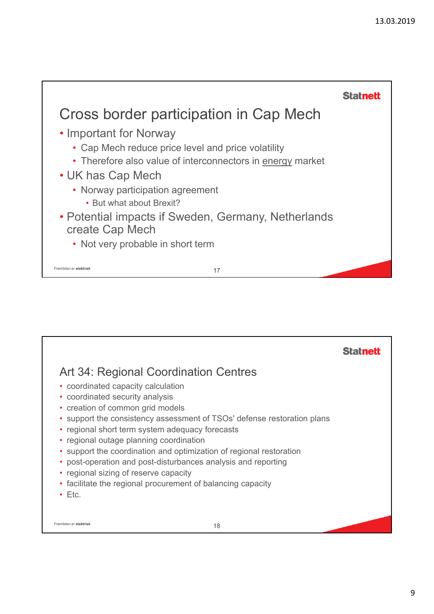